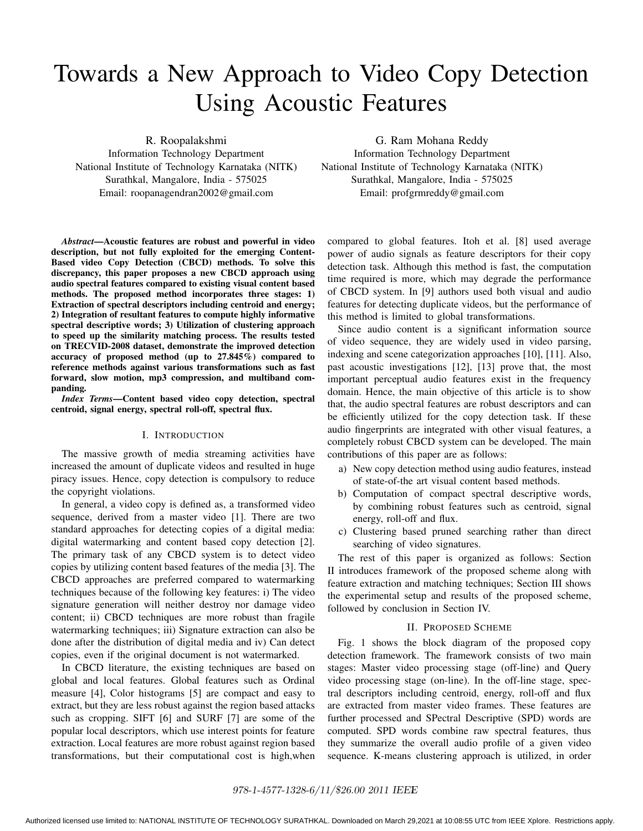# Towards a New Approach to Video Copy Detection Using Acoustic Features

R. Roopalakshmi

Information Technology Department National Institute of Technology Karnataka (NITK) Surathkal, Mangalore, India - 575025 Email: roopanagendran2002@gmail.com

*Abstract*—Acoustic features are robust and powerful in video description, but not fully exploited for the emerging Content-Based video Copy Detection (CBCD) methods. To solve this discrepancy, this paper proposes a new CBCD approach using audio spectral features compared to existing visual content based methods. The proposed method incorporates three stages: 1) Extraction of spectral descriptors including centroid and energy; 2) Integration of resultant features to compute highly informative spectral descriptive words; 3) Utilization of clustering approach to speed up the similarity matching process. The results tested on TRECVID-2008 dataset, demonstrate the improved detection accuracy of proposed method (up to 27.845%) compared to reference methods against various transformations such as fast forward, slow motion, mp3 compression, and multiband companding.

*Index Terms*—Content based video copy detection, spectral centroid, signal energy, spectral roll-off, spectral flux.

### I. INTRODUCTION

The massive growth of media streaming activities have increased the amount of duplicate videos and resulted in huge piracy issues. Hence, copy detection is compulsory to reduce the copyright violations.

In general, a video copy is defined as, a transformed video sequence, derived from a master video [1]. There are two standard approaches for detecting copies of a digital media: digital watermarking and content based copy detection [2]. The primary task of any CBCD system is to detect video copies by utilizing content based features of the media [3]. The CBCD approaches are preferred compared to watermarking techniques because of the following key features: i) The video signature generation will neither destroy nor damage video content; ii) CBCD techniques are more robust than fragile watermarking techniques; iii) Signature extraction can also be done after the distribution of digital media and iv) Can detect copies, even if the original document is not watermarked.

In CBCD literature, the existing techniques are based on global and local features. Global features such as Ordinal measure [4], Color histograms [5] are compact and easy to extract, but they are less robust against the region based attacks such as cropping. SIFT [6] and SURF [7] are some of the popular local descriptors, which use interest points for feature extraction. Local features are more robust against region based transformations, but their computational cost is high,when G. Ram Mohana Reddy

Information Technology Department National Institute of Technology Karnataka (NITK) Surathkal, Mangalore, India - 575025 Email: profgrmreddy@gmail.com

compared to global features. Itoh et al. [8] used average power of audio signals as feature descriptors for their copy detection task. Although this method is fast, the computation time required is more, which may degrade the performance of CBCD system. In [9] authors used both visual and audio features for detecting duplicate videos, but the performance of this method is limited to global transformations.

Since audio content is a significant information source of video sequence, they are widely used in video parsing, indexing and scene categorization approaches [10], [11]. Also, past acoustic investigations [12], [13] prove that, the most important perceptual audio features exist in the frequency domain. Hence, the main objective of this article is to show that, the audio spectral features are robust descriptors and can be efficiently utilized for the copy detection task. If these audio fingerprints are integrated with other visual features, a completely robust CBCD system can be developed. The main contributions of this paper are as follows:

- a) New copy detection method using audio features, instead of state-of-the art visual content based methods.
- b) Computation of compact spectral descriptive words, by combining robust features such as centroid, signal energy, roll-off and flux.
- c) Clustering based pruned searching rather than direct searching of video signatures.

The rest of this paper is organized as follows: Section II introduces framework of the proposed scheme along with feature extraction and matching techniques; Section III shows the experimental setup and results of the proposed scheme, followed by conclusion in Section IV.

# II. PROPOSED SCHEME

Fig. 1 shows the block diagram of the proposed copy detection framework. The framework consists of two main stages: Master video processing stage (off-line) and Query video processing stage (on-line). In the off-line stage, spectral descriptors including centroid, energy, roll-off and flux are extracted from master video frames. These features are further processed and SPectral Descriptive (SPD) words are computed. SPD words combine raw spectral features, thus they summarize the overall audio profile of a given video sequence. K-means clustering approach is utilized, in order

#### 978-1-4577-1328-6/11/\$26.00 2011 IEEE1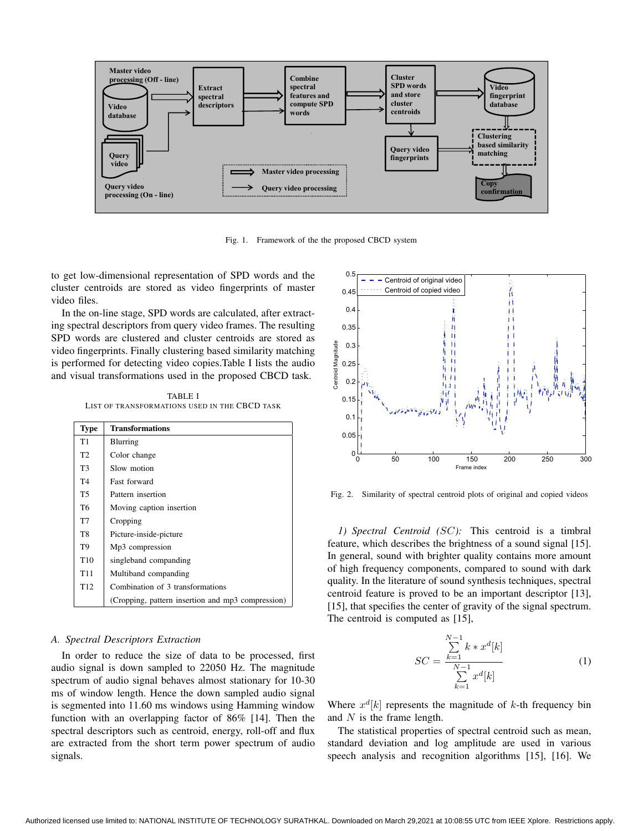

Fig. 1. Framework of the the proposed CBCD system

to get low-dimensional representation of SPD words and the cluster centroids are stored as video fingerprints of master video files.

In the on-line stage, SPD words are calculated, after extracting spectral descriptors from query video frames. The resulting SPD words are clustered and cluster centroids are stored as video fingerprints. Finally clustering based similarity matching is performed for detecting video copies.Table I lists the audio and visual transformations used in the proposed CBCD task.

TABLE I LIST OF TRANSFORMATIONS USED IN THE CBCD TASK

| Type            | <b>Transformations</b>                            |  |  |  |
|-----------------|---------------------------------------------------|--|--|--|
| T1              | Blurring                                          |  |  |  |
| T <sub>2</sub>  | Color change                                      |  |  |  |
| T3              | Slow motion                                       |  |  |  |
| T4              | <b>Fast forward</b>                               |  |  |  |
| T <sub>5</sub>  | Pattern insertion                                 |  |  |  |
| Т6              | Moving caption insertion                          |  |  |  |
| T7              | Cropping                                          |  |  |  |
| T8              | Picture-inside-picture                            |  |  |  |
| T9              | Mp3 compression                                   |  |  |  |
| T <sub>10</sub> | singleband companding                             |  |  |  |
| T11             | Multiband companding                              |  |  |  |
| T <sub>12</sub> | Combination of 3 transformations                  |  |  |  |
|                 | (Cropping, pattern insertion and mp3 compression) |  |  |  |

# *A. Spectral Descriptors Extraction*

In order to reduce the size of data to be processed, first audio signal is down sampled to 22050 Hz. The magnitude spectrum of audio signal behaves almost stationary for 10-30 ms of window length. Hence the down sampled audio signal is segmented into 11.60 ms windows using Hamming window function with an overlapping factor of 86% [14]. Then the spectral descriptors such as centroid, energy, roll-off and flux are extracted from the short term power spectrum of audio signals.



Fig. 2. Similarity of spectral centroid plots of original and copied videos

*1) Spectral Centroid (*SC*):* This centroid is a timbral feature, which describes the brightness of a sound signal [15]. In general, sound with brighter quality contains more amount of high frequency components, compared to sound with dark quality. In the literature of sound synthesis techniques, spectral centroid feature is proved to be an important descriptor [13], [15], that specifies the center of gravity of the signal spectrum. The centroid is computed as [15],

$$
SC = \frac{\sum_{k=1}^{N-1} k * x^d[k]}{\sum_{k=1}^{N-1} x^d[k]}
$$
(1)

Where  $x^d[k]$  represents the magnitude of k-th frequency bin and N is the frame length.

The statistical properties of spectral centroid such as mean, standard deviation and log amplitude are used in various speech analysis and recognition algorithms [15], [16]. We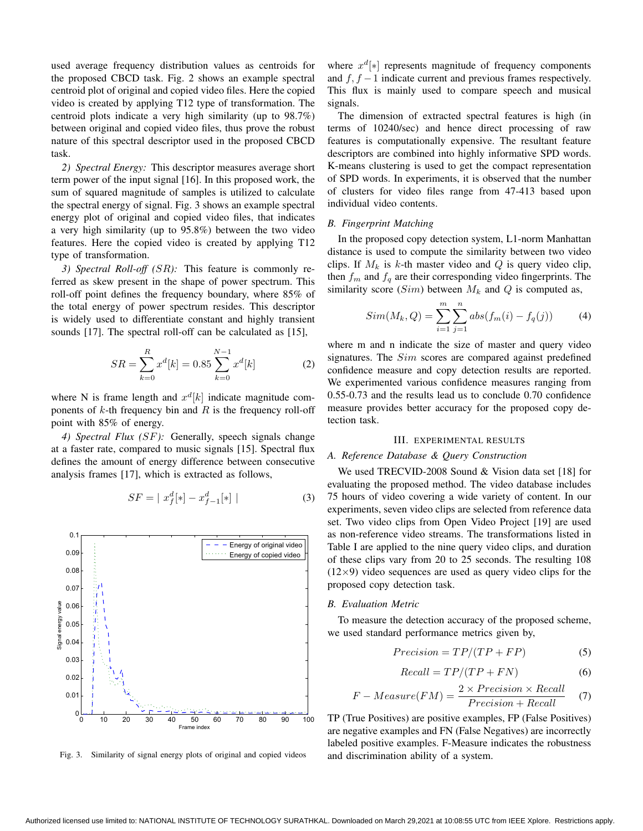used average frequency distribution values as centroids for the proposed CBCD task. Fig. 2 shows an example spectral centroid plot of original and copied video files. Here the copied video is created by applying T12 type of transformation. The centroid plots indicate a very high similarity (up to 98.7%) between original and copied video files, thus prove the robust nature of this spectral descriptor used in the proposed CBCD task.

*2) Spectral Energy:* This descriptor measures average short term power of the input signal [16]. In this proposed work, the sum of squared magnitude of samples is utilized to calculate the spectral energy of signal. Fig. 3 shows an example spectral energy plot of original and copied video files, that indicates a very high similarity (up to 95.8%) between the two video features. Here the copied video is created by applying T12 type of transformation.

*3) Spectral Roll-off (*SR*):* This feature is commonly referred as skew present in the shape of power spectrum. This roll-off point defines the frequency boundary, where 85% of the total energy of power spectrum resides. This descriptor is widely used to differentiate constant and highly transient sounds [17]. The spectral roll-off can be calculated as [15],

$$
SR = \sum_{k=0}^{R} x^d[k] = 0.85 \sum_{k=0}^{N-1} x^d[k]
$$
 (2)

where N is frame length and  $x^d[k]$  indicate magnitude components of  $k$ -th frequency bin and  $R$  is the frequency roll-off point with 85% of energy.

*4) Spectral Flux (*SF*):* Generally, speech signals change at a faster rate, compared to music signals [15]. Spectral flux defines the amount of energy difference between consecutive analysis frames [17], which is extracted as follows,



 $SF = | x_f^d[*] - x_{f-1}^d[*]$  (3)

Fig. 3. Similarity of signal energy plots of original and copied videos

where  $x^d[*]$  represents magnitude of frequency components and  $f, f - 1$  indicate current and previous frames respectively. This flux is mainly used to compare speech and musical signals.

The dimension of extracted spectral features is high (in terms of 10240/sec) and hence direct processing of raw features is computationally expensive. The resultant feature descriptors are combined into highly informative SPD words. K-means clustering is used to get the compact representation of SPD words. In experiments, it is observed that the number of clusters for video files range from 47-413 based upon individual video contents.

#### *B. Fingerprint Matching*

In the proposed copy detection system, L1-norm Manhattan distance is used to compute the similarity between two video clips. If  $M_k$  is k-th master video and  $Q$  is query video clip, then  $f_m$  and  $f_q$  are their corresponding video fingerprints. The similarity score  $(Sim)$  between  $M_k$  and  $Q$  is computed as,

$$
Sim(M_k, Q) = \sum_{i=1}^{m} \sum_{j=1}^{n} abs(f_m(i) - f_q(j))
$$
 (4)

where m and n indicate the size of master and query video signatures. The Sim scores are compared against predefined confidence measure and copy detection results are reported. We experimented various confidence measures ranging from 0.55-0.73 and the results lead us to conclude 0.70 confidence measure provides better accuracy for the proposed copy detection task.

#### III. EXPERIMENTAL RESULTS

#### *A. Reference Database & Query Construction*

We used TRECVID-2008 Sound & Vision data set [18] for evaluating the proposed method. The video database includes 75 hours of video covering a wide variety of content. In our experiments, seven video clips are selected from reference data set. Two video clips from Open Video Project [19] are used as non-reference video streams. The transformations listed in Table I are applied to the nine query video clips, and duration of these clips vary from 20 to 25 seconds. The resulting 108  $(12\times9)$  video sequences are used as query video clips for the proposed copy detection task.

#### *B. Evaluation Metric*

To measure the detection accuracy of the proposed scheme, we used standard performance metrics given by,

$$
Precision = TP/(TP + FP)
$$
 (5)

$$
Recall = TP/(TP + FN)
$$
 (6)

$$
F-Measure(FM) = \frac{2 \times Precision \times Recall}{Precision + Recall}
$$
 (7)

TP (True Positives) are positive examples, FP (False Positives) are negative examples and FN (False Negatives) are incorrectly labeled positive examples. F-Measure indicates the robustness and discrimination ability of a system.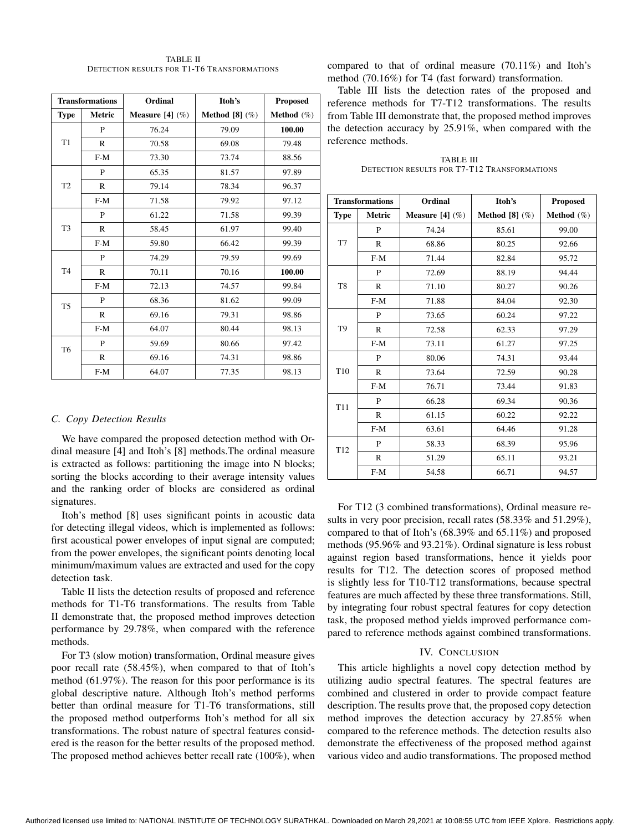| <b>Transformations</b> |              | Ordinal              | Itoh's              | <b>Proposed</b> |
|------------------------|--------------|----------------------|---------------------|-----------------|
| <b>Type</b>            | Metric       | Measure $[4]$ $(\%)$ | Method $[8]$ $(\%)$ | Method $(\%)$   |
| T1                     | P            | 76.24                | 79.09               | 100.00          |
|                        | R            | 70.58                | 69.08               | 79.48           |
|                        | $F-M$        | 73.30                | 73.74               | 88.56           |
| T <sub>2</sub>         | P            | 65.35                | 81.57               | 97.89           |
|                        | R            | 79.14                | 78.34               | 96.37           |
|                        | $F-M$        | 71.58                | 79.92               | 97.12           |
| T <sub>3</sub>         | P            | 61.22                | 71.58               | 99.39           |
|                        | R            | 58.45                | 61.97               | 99.40           |
|                        | $F-M$        | 59.80                | 66.42               | 99.39           |
| T <sub>4</sub>         | P            | 74.29                | 79.59               | 99.69           |
|                        | R            | 70.11                | 70.16               | 100.00          |
|                        | $F-M$        | 72.13                | 74.57               | 99.84           |
| T <sub>5</sub>         | P            | 68.36                | 81.62               | 99.09           |
|                        | $\mathbb{R}$ | 69.16                | 79.31               | 98.86           |
|                        | $F-M$        | 64.07                | 80.44               | 98.13           |
| T <sub>6</sub>         | P            | 59.69                | 80.66               | 97.42           |
|                        | R            | 69.16                | 74.31               | 98.86           |
|                        | $F-M$        | 64.07                | 77.35               | 98.13           |

TABLE II DETECTION RESULTS FOR T1-T6 TRANSFORMATIONS

#### *C. Copy Detection Results*

We have compared the proposed detection method with Ordinal measure [4] and Itoh's [8] methods.The ordinal measure is extracted as follows: partitioning the image into N blocks; sorting the blocks according to their average intensity values and the ranking order of blocks are considered as ordinal signatures.

Itoh's method [8] uses significant points in acoustic data for detecting illegal videos, which is implemented as follows: first acoustical power envelopes of input signal are computed; from the power envelopes, the significant points denoting local minimum/maximum values are extracted and used for the copy detection task.

Table II lists the detection results of proposed and reference methods for T1-T6 transformations. The results from Table II demonstrate that, the proposed method improves detection performance by 29.78%, when compared with the reference methods.

For T3 (slow motion) transformation, Ordinal measure gives poor recall rate (58.45%), when compared to that of Itoh's method (61.97%). The reason for this poor performance is its global descriptive nature. Although Itoh's method performs better than ordinal measure for T1-T6 transformations, still the proposed method outperforms Itoh's method for all six transformations. The robust nature of spectral features considered is the reason for the better results of the proposed method. The proposed method achieves better recall rate (100%), when

compared to that of ordinal measure (70.11%) and Itoh's method (70.16%) for T4 (fast forward) transformation.

Table III lists the detection rates of the proposed and reference methods for T7-T12 transformations. The results from Table III demonstrate that, the proposed method improves the detection accuracy by 25.91%, when compared with the reference methods.

TABLE III DETECTION RESULTS FOR T7-T12 TRANSFORMATIONS

| <b>Transformations</b> |              | Ordinal         | Itoh's              | <b>Proposed</b> |
|------------------------|--------------|-----------------|---------------------|-----------------|
| <b>Type</b>            | Metric       | Measure [4] (%) | Method $[8]$ $(\%)$ | Method $(\%)$   |
| T7                     | P            | 74.24           | 85.61               | 99.00           |
|                        | R            | 68.86           | 80.25               | 92.66           |
|                        | $F-M$        | 71.44           | 82.84               | 95.72           |
| T <sub>8</sub>         | P            | 72.69           | 88.19               | 94.44           |
|                        | R            | 71.10           | 80.27               | 90.26           |
|                        | $F-M$        | 71.88           | 84.04               | 92.30           |
| T9                     | P            | 73.65           | 60.24               | 97.22           |
|                        | R            | 72.58           | 62.33               | 97.29           |
|                        | $F-M$        | 73.11           | 61.27               | 97.25           |
| T <sub>10</sub>        | P            | 80.06           | 74.31               | 93.44           |
|                        | R            | 73.64           | 72.59               | 90.28           |
|                        | $F-M$        | 76.71           | 73.44               | 91.83           |
| T <sub>11</sub>        | P            | 66.28           | 69.34               | 90.36           |
|                        | $\mathbb{R}$ | 61.15           | 60.22               | 92.22           |
|                        | $F-M$        | 63.61           | 64.46               | 91.28           |
| T <sub>12</sub>        | P            | 58.33           | 68.39               | 95.96           |
|                        | $\mathbb{R}$ | 51.29           | 65.11               | 93.21           |
|                        | $F-M$        | 54.58           | 66.71               | 94.57           |

For T12 (3 combined transformations), Ordinal measure results in very poor precision, recall rates (58.33% and 51.29%), compared to that of Itoh's (68.39% and 65.11%) and proposed methods (95.96% and 93.21%). Ordinal signature is less robust against region based transformations, hence it yields poor results for T12. The detection scores of proposed method is slightly less for T10-T12 transformations, because spectral features are much affected by these three transformations. Still, by integrating four robust spectral features for copy detection task, the proposed method yields improved performance compared to reference methods against combined transformations.

# IV. CONCLUSION

This article highlights a novel copy detection method by utilizing audio spectral features. The spectral features are combined and clustered in order to provide compact feature description. The results prove that, the proposed copy detection method improves the detection accuracy by 27.85% when compared to the reference methods. The detection results also demonstrate the effectiveness of the proposed method against various video and audio transformations. The proposed method